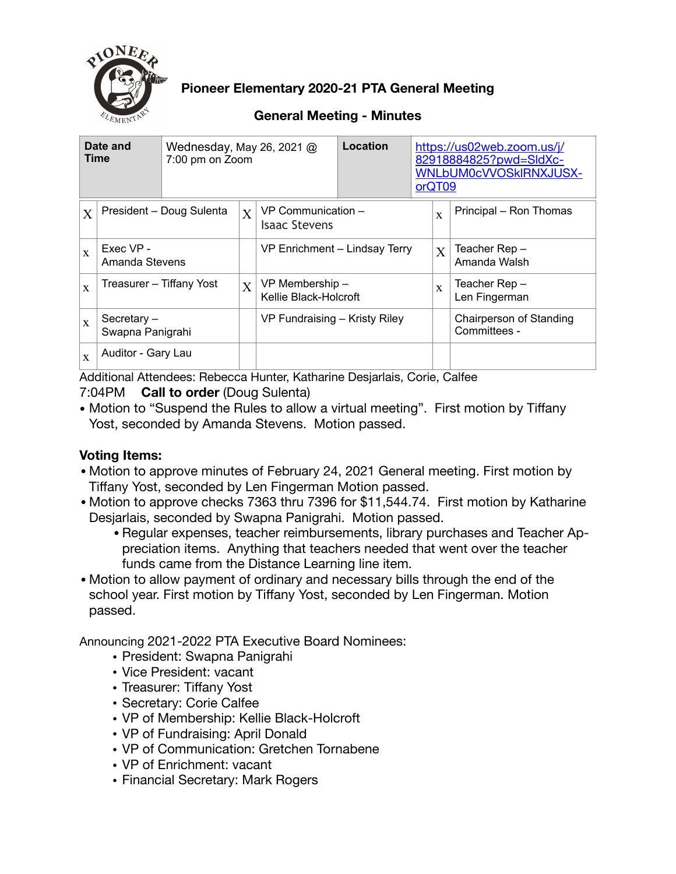

**Pioneer Elementary 2020-21 PTA General Meeting** 

## **General Meeting - Minutes**

| Date and<br><b>Time</b> |                                          | Wednesday, May 26, 2021 $@$<br>7:00 pm on Zoom |                |                                            | Location |  | https://us02web.zoom.us/j/<br>82918884825?pwd=SldXc-<br><b>WNLbUM0cVVOSkIRNXJUSX-</b><br>orQT09 |                                         |  |  |
|-------------------------|------------------------------------------|------------------------------------------------|----------------|--------------------------------------------|----------|--|-------------------------------------------------------------------------------------------------|-----------------------------------------|--|--|
| $\mathbf{X}$            | President - Doug Sulenta<br>$\mathbf{X}$ |                                                |                | VP Communication -<br><b>Isaac Stevens</b> |          |  | $\mathbf{x}$                                                                                    | Principal - Ron Thomas                  |  |  |
| $\mathbf{x}$            | Exec VP -<br>Amanda Stevens              |                                                |                | VP Enrichment - Lindsay Terry              |          |  | $\overline{X}$                                                                                  | Teacher Rep-<br>Amanda Walsh            |  |  |
| $\mathbf{x}$            | Treasurer – Tiffany Yost                 |                                                | $\overline{X}$ | VP Membership -<br>Kellie Black-Holcroft   |          |  | $\mathbf{x}$                                                                                    | Teacher Rep –<br>Len Fingerman          |  |  |
| $\mathbf{x}$            | Secretary-<br>Swapna Panigrahi           |                                                |                | VP Fundraising - Kristy Riley              |          |  |                                                                                                 | Chairperson of Standing<br>Committees - |  |  |
| $\mathbf x$             | Auditor - Gary Lau                       |                                                |                |                                            |          |  |                                                                                                 |                                         |  |  |

Additional Attendees: Rebecca Hunter, Katharine Desjarlais, Corie, Calfee

### 7:04PM **Call to order** (Doug Sulenta)

• Motion to "Suspend the Rules to allow a virtual meeting". First motion by Tiffany Yost, seconded by Amanda Stevens. Motion passed.

## **Voting Items:**

- •Motion to approve minutes of February 24, 2021 General meeting. First motion by Tiffany Yost, seconded by Len Fingerman Motion passed.
- •Motion to approve checks 7363 thru 7396 for \$11,544.74. First motion by Katharine Desjarlais, seconded by Swapna Panigrahi. Motion passed.
	- •Regular expenses, teacher reimbursements, library purchases and Teacher Appreciation items. Anything that teachers needed that went over the teacher funds came from the Distance Learning line item.
- •Motion to allow payment of ordinary and necessary bills through the end of the school year. First motion by Tiffany Yost, seconded by Len Fingerman. Motion passed.

Announcing 2021-2022 PTA Executive Board Nominees:

- President: Swapna Panigrahi
- Vice President: vacant
- Treasurer: Tiffany Yost
- Secretary: Corie Calfee
- VP of Membership: Kellie Black-Holcroft
- VP of Fundraising: April Donald
- VP of Communication: Gretchen Tornabene
- VP of Enrichment: vacant
- Financial Secretary: Mark Rogers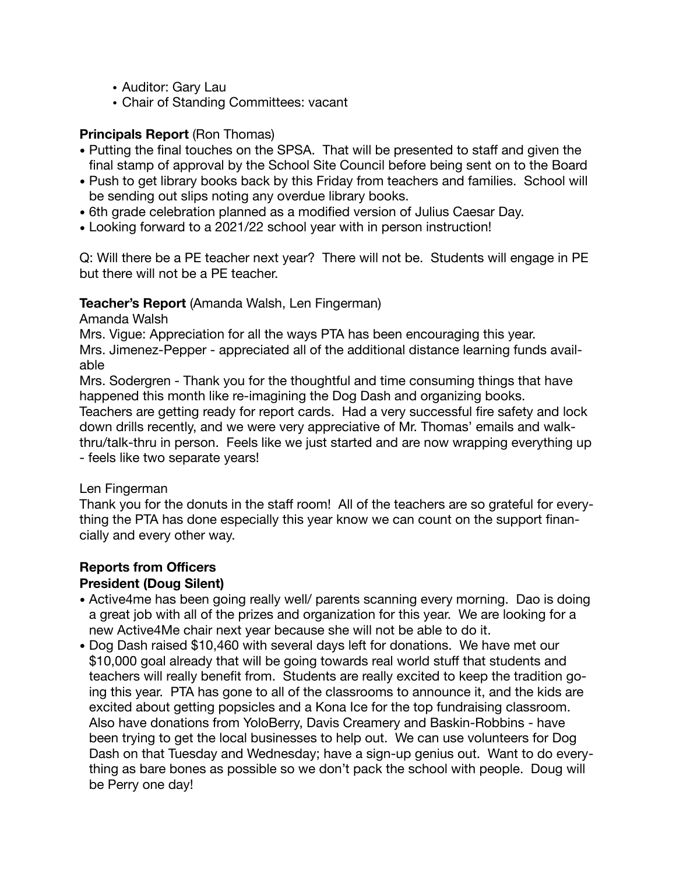- Auditor: Gary Lau
- Chair of Standing Committees: vacant

### **Principals Report** (Ron Thomas)

- Putting the final touches on the SPSA. That will be presented to staff and given the final stamp of approval by the School Site Council before being sent on to the Board
- Push to get library books back by this Friday from teachers and families. School will be sending out slips noting any overdue library books.
- 6th grade celebration planned as a modified version of Julius Caesar Day.
- Looking forward to a 2021/22 school year with in person instruction!

Q: Will there be a PE teacher next year? There will not be. Students will engage in PE but there will not be a PE teacher.

### **Teacher's Report** (Amanda Walsh, Len Fingerman)

Amanda Walsh

Mrs. Vigue: Appreciation for all the ways PTA has been encouraging this year. Mrs. Jimenez-Pepper - appreciated all of the additional distance learning funds available

Mrs. Sodergren - Thank you for the thoughtful and time consuming things that have happened this month like re-imagining the Dog Dash and organizing books.

Teachers are getting ready for report cards. Had a very successful fire safety and lock down drills recently, and we were very appreciative of Mr. Thomas' emails and walkthru/talk-thru in person. Feels like we just started and are now wrapping everything up - feels like two separate years!

### Len Fingerman

Thank you for the donuts in the staff room! All of the teachers are so grateful for everything the PTA has done especially this year know we can count on the support financially and every other way.

### **Reports from Officers**

### **President (Doug Silent)**

- Active4me has been going really well/ parents scanning every morning. Dao is doing a great job with all of the prizes and organization for this year. We are looking for a new Active4Me chair next year because she will not be able to do it.
- Dog Dash raised \$10,460 with several days left for donations. We have met our \$10,000 goal already that will be going towards real world stuff that students and teachers will really benefit from. Students are really excited to keep the tradition going this year. PTA has gone to all of the classrooms to announce it, and the kids are excited about getting popsicles and a Kona Ice for the top fundraising classroom. Also have donations from YoloBerry, Davis Creamery and Baskin-Robbins - have been trying to get the local businesses to help out. We can use volunteers for Dog Dash on that Tuesday and Wednesday; have a sign-up genius out. Want to do everything as bare bones as possible so we don't pack the school with people. Doug will be Perry one day!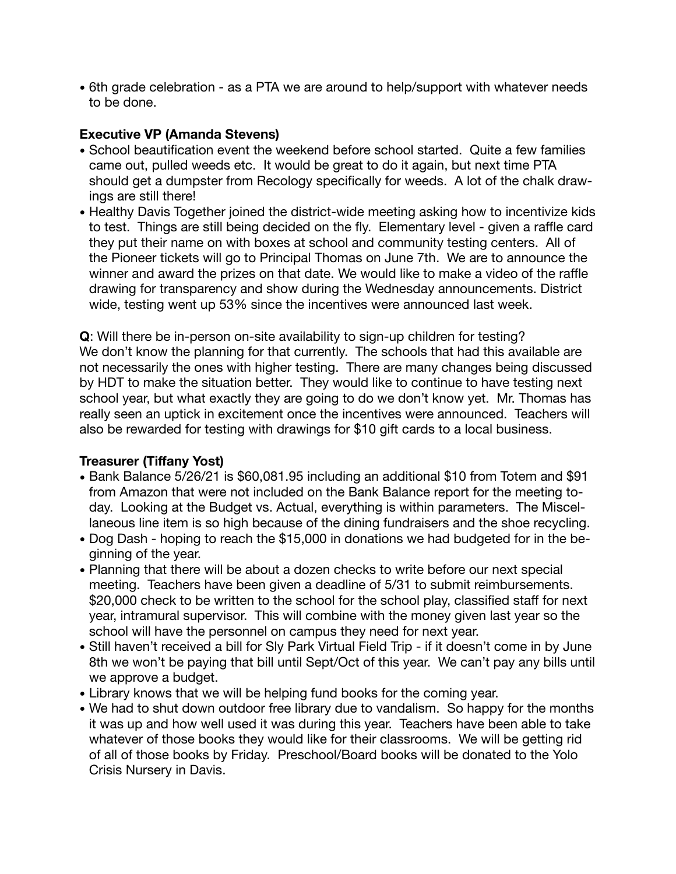• 6th grade celebration - as a PTA we are around to help/support with whatever needs to be done.

### **Executive VP (Amanda Stevens)**

- School beautification event the weekend before school started. Quite a few families came out, pulled weeds etc. It would be great to do it again, but next time PTA should get a dumpster from Recology specifically for weeds. A lot of the chalk drawings are still there!
- Healthy Davis Together joined the district-wide meeting asking how to incentivize kids to test. Things are still being decided on the fly. Elementary level - given a raffle card they put their name on with boxes at school and community testing centers. All of the Pioneer tickets will go to Principal Thomas on June 7th. We are to announce the winner and award the prizes on that date. We would like to make a video of the raffle drawing for transparency and show during the Wednesday announcements. District wide, testing went up 53% since the incentives were announced last week.

**Q**: Will there be in-person on-site availability to sign-up children for testing? We don't know the planning for that currently. The schools that had this available are not necessarily the ones with higher testing. There are many changes being discussed by HDT to make the situation better. They would like to continue to have testing next school year, but what exactly they are going to do we don't know yet. Mr. Thomas has really seen an uptick in excitement once the incentives were announced. Teachers will also be rewarded for testing with drawings for \$10 gift cards to a local business.

### **Treasurer (Tiffany Yost)**

- Bank Balance 5/26/21 is \$60,081.95 including an additional \$10 from Totem and \$91 from Amazon that were not included on the Bank Balance report for the meeting today. Looking at the Budget vs. Actual, everything is within parameters. The Miscellaneous line item is so high because of the dining fundraisers and the shoe recycling.
- Dog Dash hoping to reach the \$15,000 in donations we had budgeted for in the beginning of the year.
- Planning that there will be about a dozen checks to write before our next special meeting. Teachers have been given a deadline of 5/31 to submit reimbursements. \$20,000 check to be written to the school for the school play, classified staff for next year, intramural supervisor. This will combine with the money given last year so the school will have the personnel on campus they need for next year.
- Still haven't received a bill for Sly Park Virtual Field Trip if it doesn't come in by June 8th we won't be paying that bill until Sept/Oct of this year. We can't pay any bills until we approve a budget.
- Library knows that we will be helping fund books for the coming year.
- We had to shut down outdoor free library due to vandalism. So happy for the months it was up and how well used it was during this year. Teachers have been able to take whatever of those books they would like for their classrooms. We will be getting rid of all of those books by Friday. Preschool/Board books will be donated to the Yolo Crisis Nursery in Davis.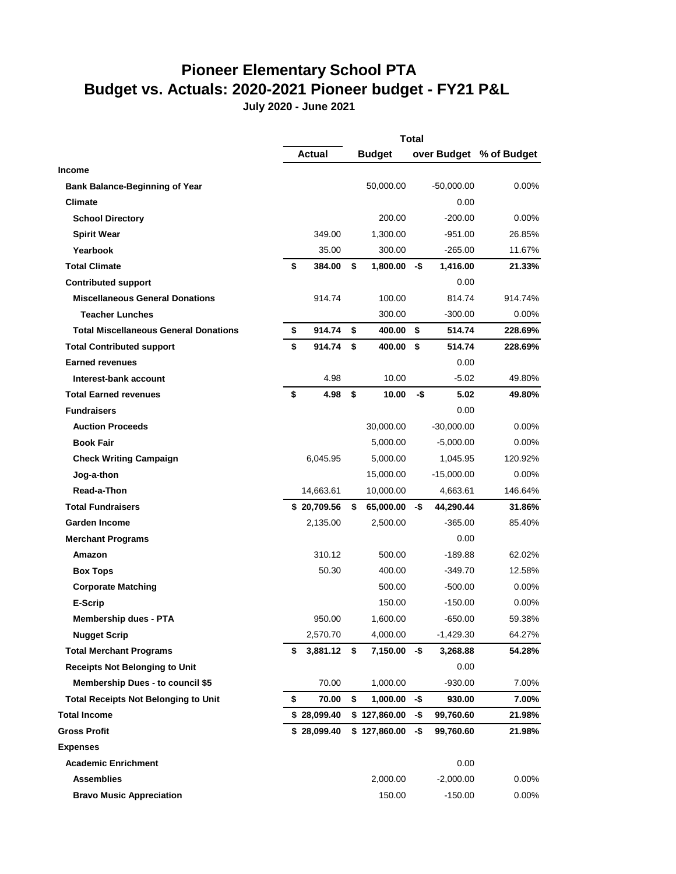# **Pioneer Elementary School PTA Budget vs. Actuals: 2020-2021 Pioneer budget - FY21 P&L**

**July 2020 - June 2021**

|                                              | <b>Total</b> |             |    |               |     |              |                         |
|----------------------------------------------|--------------|-------------|----|---------------|-----|--------------|-------------------------|
|                                              |              | Actual      |    | <b>Budget</b> |     |              | over Budget % of Budget |
| Income                                       |              |             |    |               |     |              |                         |
| <b>Bank Balance-Beginning of Year</b>        |              |             |    | 50,000.00     |     | $-50,000.00$ | $0.00\%$                |
| Climate                                      |              |             |    |               |     | 0.00         |                         |
| <b>School Directory</b>                      |              |             |    | 200.00        |     | $-200.00$    | $0.00\%$                |
| <b>Spirit Wear</b>                           |              | 349.00      |    | 1,300.00      |     | $-951.00$    | 26.85%                  |
| Yearbook                                     |              | 35.00       |    | 300.00        |     | $-265.00$    | 11.67%                  |
| <b>Total Climate</b>                         | \$           | 384.00      | \$ | 1,800.00      | -\$ | 1,416.00     | 21.33%                  |
| <b>Contributed support</b>                   |              |             |    |               |     | 0.00         |                         |
| <b>Miscellaneous General Donations</b>       |              | 914.74      |    | 100.00        |     | 814.74       | 914.74%                 |
| <b>Teacher Lunches</b>                       |              |             |    | 300.00        |     | $-300.00$    | $0.00\%$                |
| <b>Total Miscellaneous General Donations</b> | \$           | 914.74      | \$ | 400.00        | \$  | 514.74       | 228.69%                 |
| <b>Total Contributed support</b>             | \$           | 914.74      | \$ | 400.00        | \$  | 514.74       | 228.69%                 |
| <b>Earned revenues</b>                       |              |             |    |               |     | 0.00         |                         |
| Interest-bank account                        |              | 4.98        |    | 10.00         |     | $-5.02$      | 49.80%                  |
| <b>Total Earned revenues</b>                 | \$           | 4.98        | \$ | 10.00         | -\$ | 5.02         | 49.80%                  |
| <b>Fundraisers</b>                           |              |             |    |               |     | 0.00         |                         |
| <b>Auction Proceeds</b>                      |              |             |    | 30,000.00     |     | $-30,000.00$ | $0.00\%$                |
| <b>Book Fair</b>                             |              |             |    | 5,000.00      |     | $-5,000.00$  | $0.00\%$                |
| <b>Check Writing Campaign</b>                |              | 6,045.95    |    | 5,000.00      |     | 1,045.95     | 120.92%                 |
| Jog-a-thon                                   |              |             |    | 15,000.00     |     | $-15,000.00$ | 0.00%                   |
| Read-a-Thon                                  |              | 14,663.61   |    | 10,000.00     |     | 4,663.61     | 146.64%                 |
| <b>Total Fundraisers</b>                     |              | \$20,709.56 | \$ | 65,000.00     | -\$ | 44,290.44    | 31.86%                  |
| <b>Garden Income</b>                         |              | 2,135.00    |    | 2,500.00      |     | $-365.00$    | 85.40%                  |
| <b>Merchant Programs</b>                     |              |             |    |               |     | 0.00         |                         |
| Amazon                                       |              | 310.12      |    | 500.00        |     | $-189.88$    | 62.02%                  |
| <b>Box Tops</b>                              |              | 50.30       |    | 400.00        |     | $-349.70$    | 12.58%                  |
| <b>Corporate Matching</b>                    |              |             |    | 500.00        |     | $-500.00$    | $0.00\%$                |
| E-Scrip                                      |              |             |    | 150.00        |     | $-150.00$    | $0.00\%$                |
| <b>Membership dues - PTA</b>                 |              | 950.00      |    | 1,600.00      |     | $-650.00$    | 59.38%                  |
| <b>Nugget Scrip</b>                          |              | 2,570.70    |    | 4,000.00      |     | -1,429.30    | 64.27%                  |
| <b>Total Merchant Programs</b>               | \$           | 3,881.12    | \$ | 7,150.00      | -\$ | 3,268.88     | 54.28%                  |
| <b>Receipts Not Belonging to Unit</b>        |              |             |    |               |     | 0.00         |                         |
| <b>Membership Dues - to council \$5</b>      |              | 70.00       |    | 1,000.00      |     | $-930.00$    | 7.00%                   |
| <b>Total Receipts Not Belonging to Unit</b>  | \$           | 70.00       | \$ | 1,000.00      | -\$ | 930.00       | 7.00%                   |
| <b>Total Income</b>                          |              | \$28,099.40 |    | \$127,860.00  | -\$ | 99,760.60    | 21.98%                  |
| <b>Gross Profit</b>                          |              | \$28,099.40 |    | \$127,860.00  | -\$ | 99,760.60    | 21.98%                  |
| <b>Expenses</b>                              |              |             |    |               |     |              |                         |
| <b>Academic Enrichment</b>                   |              |             |    |               |     | 0.00         |                         |
| <b>Assemblies</b>                            |              |             |    | 2,000.00      |     | $-2,000.00$  | 0.00%                   |
| <b>Bravo Music Appreciation</b>              |              |             |    | 150.00        |     | $-150.00$    | 0.00%                   |
|                                              |              |             |    |               |     |              |                         |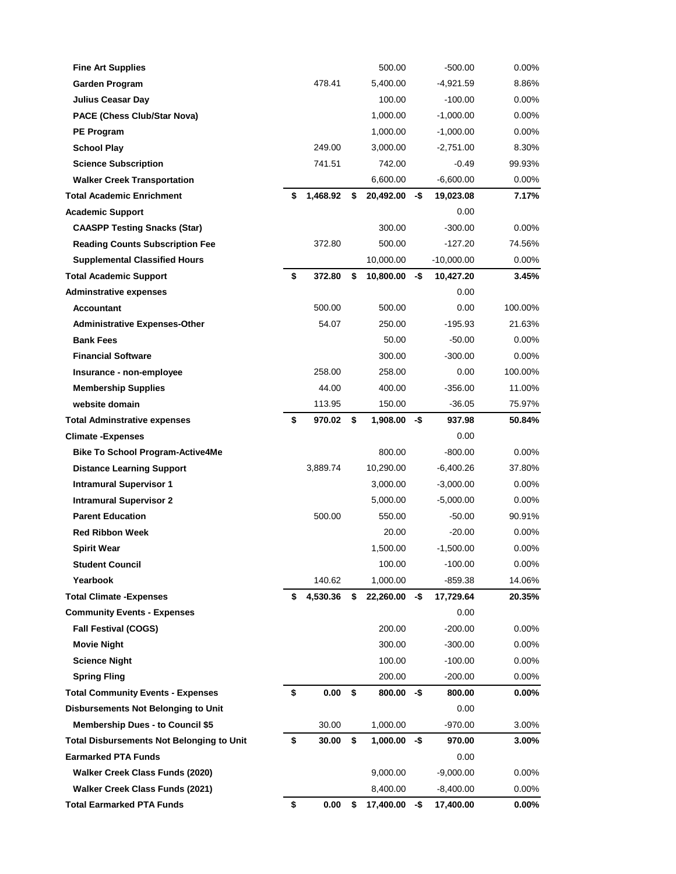| <b>Fine Art Supplies</b>                         |                | 500.00                      |     | $-500.00$                | $0.00\%$          |
|--------------------------------------------------|----------------|-----------------------------|-----|--------------------------|-------------------|
| Garden Program                                   | 478.41         | 5,400.00                    |     | -4,921.59                | 8.86%             |
| <b>Julius Ceasar Day</b>                         |                | 100.00                      |     | $-100.00$                | $0.00\%$          |
| PACE (Chess Club/Star Nova)                      |                | 1,000.00                    |     | $-1,000.00$              | $0.00\%$          |
| <b>PE Program</b>                                |                | 1,000.00                    |     | $-1,000.00$              | 0.00%             |
| <b>School Play</b>                               | 249.00         | 3,000.00                    |     | $-2,751.00$              | 8.30%             |
| <b>Science Subscription</b>                      | 741.51         | 742.00                      |     | $-0.49$                  | 99.93%            |
| <b>Walker Creek Transportation</b>               |                | 6,600.00                    |     | $-6,600.00$              | 0.00%             |
| <b>Total Academic Enrichment</b>                 | \$<br>1,468.92 | \$<br>20,492.00             | -\$ | 19,023.08                | 7.17%             |
| <b>Academic Support</b>                          |                |                             |     | 0.00                     |                   |
| <b>CAASPP Testing Snacks (Star)</b>              |                | 300.00                      |     | $-300.00$                | $0.00\%$          |
| <b>Reading Counts Subscription Fee</b>           | 372.80         | 500.00                      |     | $-127.20$                | 74.56%            |
| <b>Supplemental Classified Hours</b>             |                | 10,000.00                   |     | $-10,000.00$             | $0.00\%$          |
| <b>Total Academic Support</b>                    | \$<br>372.80   | \$<br>10,800.00             | -\$ | 10,427.20                | 3.45%             |
| <b>Adminstrative expenses</b>                    |                |                             |     | 0.00                     |                   |
| <b>Accountant</b>                                | 500.00         | 500.00                      |     | 0.00                     | 100.00%           |
| <b>Administrative Expenses-Other</b>             | 54.07          | 250.00                      |     | -195.93                  | 21.63%            |
| <b>Bank Fees</b>                                 |                | 50.00                       |     | $-50.00$                 | $0.00\%$          |
| <b>Financial Software</b>                        |                | 300.00                      |     | $-300.00$                | 0.00%             |
| Insurance - non-employee                         | 258.00         | 258.00                      |     | 0.00                     | 100.00%           |
| <b>Membership Supplies</b>                       | 44.00          | 400.00                      |     | $-356.00$                | 11.00%            |
| website domain                                   | 113.95         | 150.00                      |     | $-36.05$                 | 75.97%            |
| <b>Total Adminstrative expenses</b>              | \$<br>970.02   | \$<br>1,908.00              | -\$ | 937.98                   | 50.84%            |
| <b>Climate -Expenses</b>                         |                |                             |     | 0.00                     |                   |
| <b>Bike To School Program-Active4Me</b>          |                | 800.00                      |     | $-800.00$                | 0.00%             |
| <b>Distance Learning Support</b>                 | 3,889.74       | 10,290.00                   |     | -6,400.26                | 37.80%            |
| <b>Intramural Supervisor 1</b>                   |                | 3,000.00                    |     | $-3,000.00$              | $0.00\%$          |
| <b>Intramural Supervisor 2</b>                   |                | 5,000.00                    |     | $-5,000.00$              | 0.00%             |
| <b>Parent Education</b>                          | 500.00         | 550.00                      |     | $-50.00$                 | 90.91%            |
| <b>Red Ribbon Week</b>                           |                | 20.00                       |     | $-20.00$                 | 0.00%             |
| <b>Spirit Wear</b>                               |                | 1,500.00                    |     | $-1,500.00$              | 0.00%             |
| <b>Student Council</b>                           |                | 100.00                      |     | $-100.00$                | $0.00\%$          |
| Yearbook                                         | 140.62         | 1,000.00                    |     | $-859.38$                | 14.06%            |
| <b>Total Climate - Expenses</b>                  | \$<br>4,530.36 | \$<br>22,260.00             | -\$ | 17,729.64                | 20.35%            |
| <b>Community Events - Expenses</b>               |                |                             |     | 0.00                     |                   |
| <b>Fall Festival (COGS)</b>                      |                | 200.00                      |     | $-200.00$                | 0.00%             |
| <b>Movie Night</b>                               |                | 300.00                      |     | $-300.00$                | $0.00\%$          |
| <b>Science Night</b>                             |                | 100.00                      |     | $-100.00$                | $0.00\%$          |
| <b>Spring Fling</b>                              |                | 200.00                      |     | $-200.00$                | $0.00\%$          |
| <b>Total Community Events - Expenses</b>         | \$<br>0.00     | \$<br>800.00                | -\$ | 800.00                   | $0.00\%$          |
| Disbursements Not Belonging to Unit              |                |                             |     | 0.00                     |                   |
| <b>Membership Dues - to Council \$5</b>          | 30.00          | 1,000.00                    |     | $-970.00$                | 3.00%             |
| <b>Total Disbursements Not Belonging to Unit</b> | \$<br>30.00    | \$<br>1,000.00              | -\$ | 970.00                   | 3.00%             |
| <b>Earmarked PTA Funds</b>                       |                |                             |     | 0.00                     |                   |
| Walker Creek Class Funds (2020)                  |                | 9,000.00                    |     | $-9,000.00$              | 0.00%             |
| <b>Walker Creek Class Funds (2021)</b>           |                |                             |     |                          |                   |
| <b>Total Earmarked PTA Funds</b>                 | \$<br>0.00     | \$<br>8,400.00<br>17,400.00 | -\$ | $-8,400.00$<br>17,400.00 | 0.00%<br>$0.00\%$ |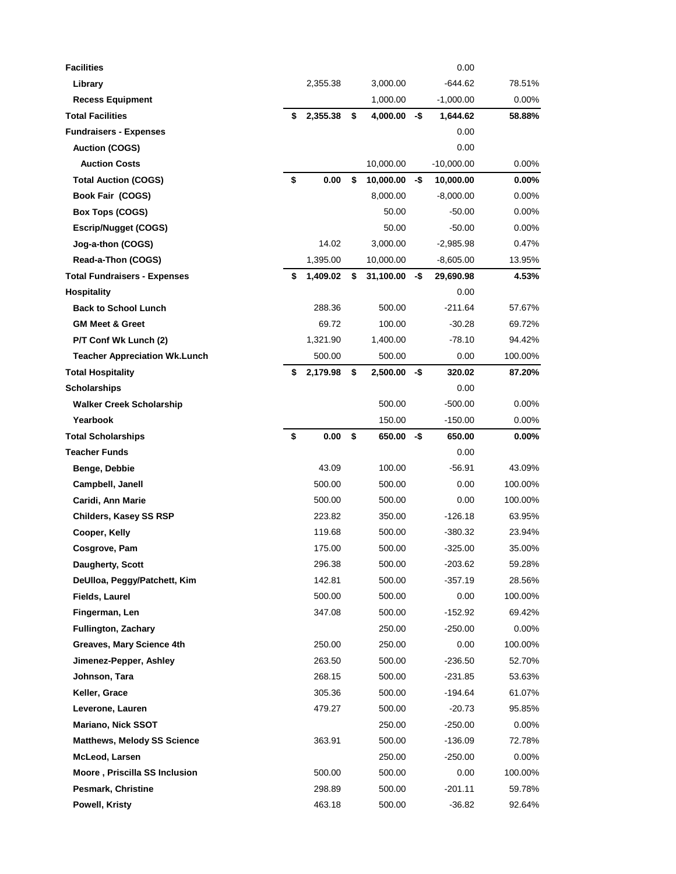| <b>Facilities</b>                       |                  |                    |     | 0.00                  |                    |
|-----------------------------------------|------------------|--------------------|-----|-----------------------|--------------------|
| Library                                 | 2,355.38         | 3,000.00           |     | -644.62               | 78.51%             |
| <b>Recess Equipment</b>                 |                  | 1,000.00           |     | $-1,000.00$           | $0.00\%$           |
| <b>Total Facilities</b>                 | \$<br>2,355.38   | \$<br>4,000.00     | -\$ | 1,644.62              | 58.88%             |
| <b>Fundraisers - Expenses</b>           |                  |                    |     | 0.00                  |                    |
| <b>Auction (COGS)</b>                   |                  |                    |     | 0.00                  |                    |
| <b>Auction Costs</b>                    |                  | 10,000.00          |     | $-10,000.00$          | $0.00\%$           |
| <b>Total Auction (COGS)</b>             | \$<br>0.00       | \$<br>10,000.00    | -\$ | 10,000.00             | $0.00\%$           |
| Book Fair (COGS)                        |                  | 8,000.00           |     | $-8,000.00$           | $0.00\%$           |
| <b>Box Tops (COGS)</b>                  |                  | 50.00              |     | $-50.00$              | $0.00\%$           |
| <b>Escrip/Nugget (COGS)</b>             |                  | 50.00              |     | $-50.00$              | $0.00\%$           |
| Jog-a-thon (COGS)                       | 14.02            | 3,000.00           |     | $-2,985.98$           | 0.47%              |
| Read-a-Thon (COGS)                      | 1,395.00         | 10,000.00          |     | $-8,605.00$           | 13.95%             |
| <b>Total Fundraisers - Expenses</b>     | \$<br>1,409.02   | \$<br>31,100.00    | -\$ | 29,690.98             | 4.53%              |
| <b>Hospitality</b>                      |                  |                    |     | 0.00                  |                    |
| <b>Back to School Lunch</b>             | 288.36           | 500.00             |     | $-211.64$             | 57.67%             |
| <b>GM Meet &amp; Greet</b>              | 69.72            | 100.00             |     | $-30.28$              | 69.72%             |
| P/T Conf Wk Lunch (2)                   | 1,321.90         | 1,400.00           |     | $-78.10$              | 94.42%             |
| <b>Teacher Appreciation Wk.Lunch</b>    | 500.00           | 500.00             |     | $0.00\,$              | 100.00%            |
| <b>Total Hospitality</b>                | \$<br>2,179.98   | \$<br>2,500.00     | -\$ | 320.02                | 87.20%             |
| <b>Scholarships</b>                     |                  |                    |     | $0.00\,$              |                    |
| <b>Walker Creek Scholarship</b>         |                  | 500.00             |     | $-500.00$             | $0.00\%$           |
| Yearbook                                |                  | 150.00             |     | $-150.00$             | $0.00\%$           |
| <b>Total Scholarships</b>               | \$<br>0.00       | \$<br>$650.00 - $$ |     | 650.00                | $0.00\%$           |
| <b>Teacher Funds</b>                    |                  |                    |     | $0.00\,$              |                    |
| Benge, Debbie                           | 43.09            | 100.00             |     | $-56.91$              | 43.09%             |
| Campbell, Janell                        | 500.00           | 500.00             |     | $0.00\,$              | 100.00%            |
| Caridi, Ann Marie                       | 500.00           | 500.00             |     | 0.00                  | 100.00%            |
| Childers, Kasey SS RSP                  | 223.82           | 350.00             |     | $-126.18$             | 63.95%             |
| Cooper, Kelly                           | 119.68           | 500.00             |     | $-380.32$             | 23.94%             |
| Cosgrove, Pam                           | 175.00           | 500.00             |     | $-325.00$             | 35.00%             |
| Daugherty, Scott                        | 296.38           | 500.00             |     | -203.62               | 59.28%             |
| DeUlloa, Peggy/Patchett, Kim            | 142.81           | 500.00             |     | $-357.19$             | 28.56%             |
| <b>Fields, Laurel</b><br>Fingerman, Len | 500.00<br>347.08 | 500.00             |     | $0.00\,$<br>$-152.92$ | 100.00%            |
| <b>Fullington, Zachary</b>              |                  | 500.00<br>250.00   |     | -250.00               | 69.42%<br>$0.00\%$ |
| Greaves, Mary Science 4th               | 250.00           | 250.00             |     | 0.00                  | 100.00%            |
| Jimenez-Pepper, Ashley                  | 263.50           | 500.00             |     | $-236.50$             | 52.70%             |
| Johnson, Tara                           | 268.15           | 500.00             |     | -231.85               | 53.63%             |
| Keller, Grace                           | 305.36           | 500.00             |     | -194.64               | 61.07%             |
| Leverone, Lauren                        | 479.27           | 500.00             |     | $-20.73$              | 95.85%             |
| <b>Mariano, Nick SSOT</b>               |                  | 250.00             |     | -250.00               | $0.00\%$           |
| <b>Matthews, Melody SS Science</b>      | 363.91           | 500.00             |     | -136.09               | 72.78%             |
| McLeod, Larsen                          |                  | 250.00             |     | -250.00               | 0.00%              |
| Moore, Priscilla SS Inclusion           | 500.00           | 500.00             |     | 0.00                  | 100.00%            |
| <b>Pesmark, Christine</b>               | 298.89           | 500.00             |     | $-201.11$             | 59.78%             |
| Powell, Kristy                          | 463.18           | 500.00             |     | $-36.82$              | 92.64%             |
|                                         |                  |                    |     |                       |                    |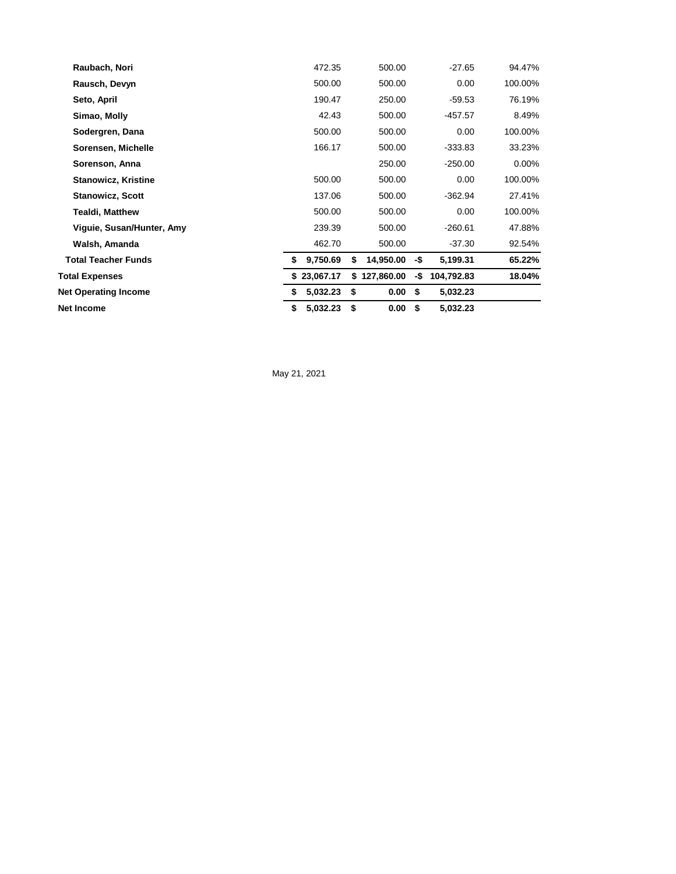| Net Income                  | \$<br>5,032.23 | \$<br>0.00       | \$  | 5,032.23   |          |
|-----------------------------|----------------|------------------|-----|------------|----------|
| <b>Net Operating Income</b> | 5,032.23<br>\$ | \$<br>0.00       | \$  | 5,032.23   |          |
| Total Expenses              | \$23,067.17    | 127,860.00<br>\$ | -\$ | 104,792.83 | 18.04%   |
| <b>Total Teacher Funds</b>  | 9,750.69<br>\$ | \$<br>14,950.00  | -\$ | 5,199.31   | 65.22%   |
| Walsh, Amanda               | 462.70         | 500.00           |     | -37.30     | 92.54%   |
| Viguie, Susan/Hunter, Amy   | 239.39         | 500.00           |     | $-260.61$  | 47.88%   |
| <b>Tealdi, Matthew</b>      | 500.00         | 500.00           |     | 0.00       | 100.00%  |
| <b>Stanowicz, Scott</b>     | 137.06         | 500.00           |     | $-362.94$  | 27.41%   |
| <b>Stanowicz, Kristine</b>  | 500.00         | 500.00           |     | 0.00       | 100.00%  |
| Sorenson, Anna              |                | 250.00           |     | $-250.00$  | $0.00\%$ |
| Sorensen, Michelle          | 166.17         | 500.00           |     | $-333.83$  | 33.23%   |
| Sodergren, Dana             | 500.00         | 500.00           |     | 0.00       | 100.00%  |
| Simao, Molly                | 42.43          | 500.00           |     | $-457.57$  | 8.49%    |
| Seto, April                 | 190.47         | 250.00           |     | -59.53     | 76.19%   |
| Rausch, Devyn               | 500.00         | 500.00           |     | 0.00       | 100.00%  |
| Raubach, Nori               | 472.35         | 500.00           |     | $-27.65$   | 94.47%   |

May 21, 2021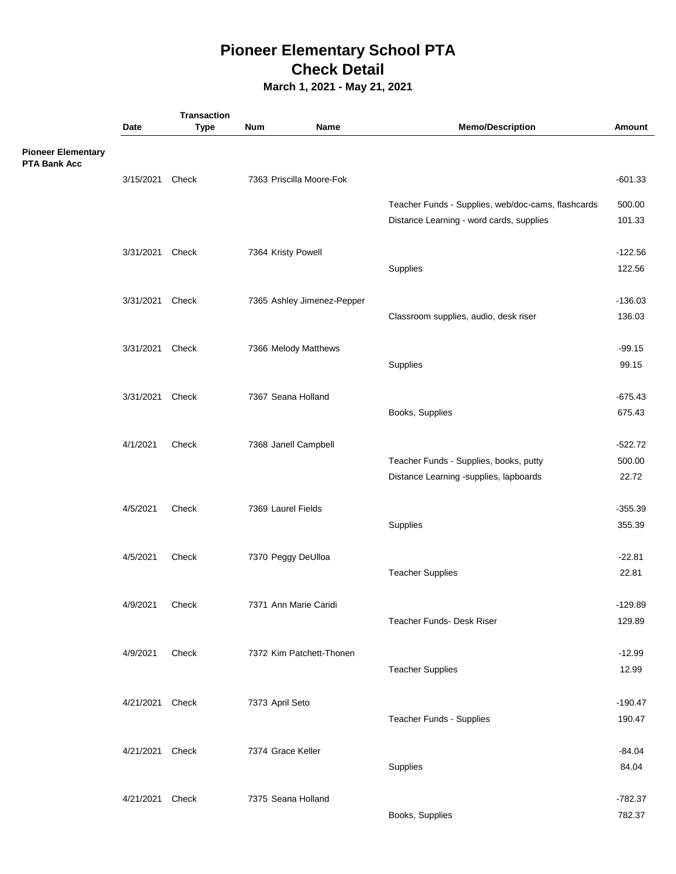# **Pioneer Elementary School PTA Check Detail**

**March 1, 2021 - May 21, 2021**

|                                                  |                 | <b>Transaction</b> |                    |                            |                                                    |                     |
|--------------------------------------------------|-----------------|--------------------|--------------------|----------------------------|----------------------------------------------------|---------------------|
|                                                  | Date            | <b>Type</b>        | Num                | Name                       | <b>Memo/Description</b>                            | Amount              |
| <b>Pioneer Elementary</b><br><b>PTA Bank Acc</b> |                 |                    |                    |                            |                                                    |                     |
|                                                  | 3/15/2021       | Check              |                    | 7363 Priscilla Moore-Fok   |                                                    | $-601.33$           |
|                                                  |                 |                    |                    |                            | Teacher Funds - Supplies, web/doc-cams, flashcards | 500.00              |
|                                                  |                 |                    |                    |                            | Distance Learning - word cards, supplies           | 101.33              |
|                                                  | 3/31/2021 Check |                    | 7364 Kristy Powell |                            |                                                    | $-122.56$           |
|                                                  |                 |                    |                    |                            | Supplies                                           | 122.56              |
|                                                  | 3/31/2021       | Check              |                    | 7365 Ashley Jimenez-Pepper |                                                    | $-136.03$           |
|                                                  |                 |                    |                    |                            | Classroom supplies, audio, desk riser              | 136.03              |
|                                                  | 3/31/2021 Check |                    |                    | 7366 Melody Matthews       |                                                    | $-99.15$            |
|                                                  |                 |                    |                    |                            | Supplies                                           | 99.15               |
|                                                  |                 |                    |                    |                            |                                                    |                     |
|                                                  | 3/31/2021       | Check              |                    | 7367 Seana Holland         | Books, Supplies                                    | $-675.43$<br>675.43 |
|                                                  |                 |                    |                    |                            |                                                    |                     |
|                                                  | 4/1/2021        | Check              |                    | 7368 Janell Campbell       |                                                    | $-522.72$           |
|                                                  |                 |                    |                    |                            | Teacher Funds - Supplies, books, putty             | 500.00              |
|                                                  |                 |                    |                    |                            | Distance Learning -supplies, lapboards             | 22.72               |
|                                                  | 4/5/2021        | Check              | 7369 Laurel Fields |                            |                                                    | $-355.39$           |
|                                                  |                 |                    |                    |                            | Supplies                                           | 355.39              |
|                                                  | 4/5/2021        | Check              |                    | 7370 Peggy DeUlloa         |                                                    | $-22.81$            |
|                                                  |                 |                    |                    |                            | <b>Teacher Supplies</b>                            | 22.81               |
|                                                  | 4/9/2021        | Check              |                    | 7371 Ann Marie Caridi      |                                                    | $-129.89$           |
|                                                  |                 |                    |                    |                            | Teacher Funds- Desk Riser                          | 129.89              |
|                                                  | 4/9/2021        | Check              |                    | 7372 Kim Patchett-Thonen   |                                                    | $-12.99$            |
|                                                  |                 |                    |                    |                            | <b>Teacher Supplies</b>                            | 12.99               |
|                                                  | 4/21/2021 Check |                    | 7373 April Seto    |                            |                                                    | $-190.47$           |
|                                                  |                 |                    |                    |                            | <b>Teacher Funds - Supplies</b>                    | 190.47              |
|                                                  | 4/21/2021 Check |                    | 7374 Grace Keller  |                            |                                                    | $-84.04$            |
|                                                  |                 |                    |                    |                            | Supplies                                           | 84.04               |
|                                                  |                 |                    |                    |                            |                                                    |                     |
|                                                  | 4/21/2021 Check |                    |                    | 7375 Seana Holland         |                                                    | $-782.37$           |
|                                                  |                 |                    |                    |                            | Books, Supplies                                    | 782.37              |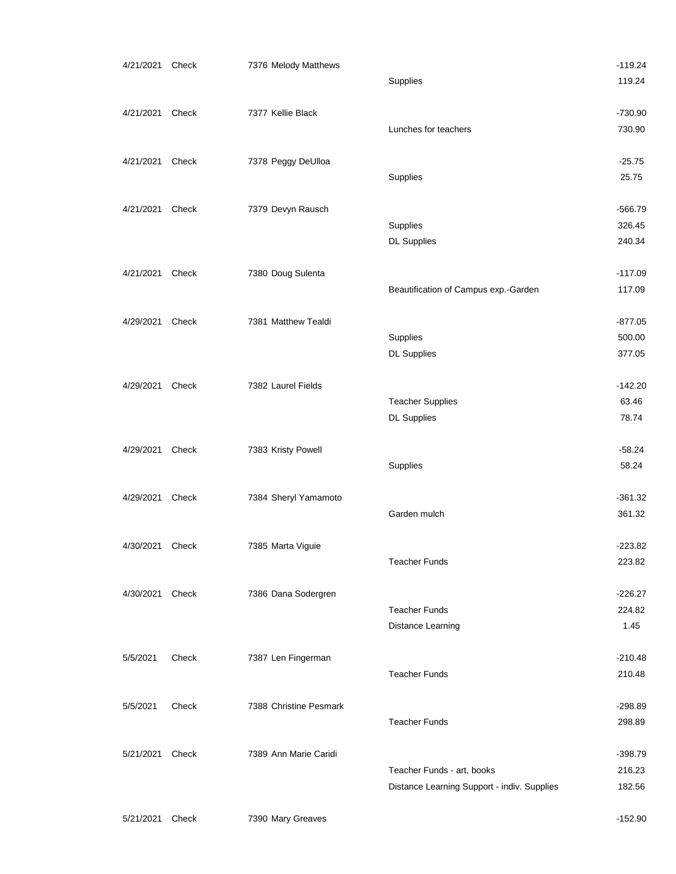| 4/21/2021 Check |       | 7376 Melody Matthews   |                                             | $-119.24$ |
|-----------------|-------|------------------------|---------------------------------------------|-----------|
|                 |       |                        | Supplies                                    | 119.24    |
|                 |       |                        |                                             |           |
| 4/21/2021       | Check | 7377 Kellie Black      |                                             | $-730.90$ |
|                 |       |                        | Lunches for teachers                        | 730.90    |
| 4/21/2021       | Check | 7378 Peggy DeUlloa     |                                             | $-25.75$  |
|                 |       |                        | Supplies                                    | 25.75     |
|                 |       |                        |                                             |           |
| 4/21/2021       | Check | 7379 Devyn Rausch      |                                             | $-566.79$ |
|                 |       |                        | Supplies                                    | 326.45    |
|                 |       |                        | <b>DL Supplies</b>                          | 240.34    |
| 4/21/2021       | Check | 7380 Doug Sulenta      |                                             | $-117.09$ |
|                 |       |                        | Beautification of Campus exp.-Garden        | 117.09    |
| 4/29/2021       | Check | 7381 Matthew Tealdi    |                                             | $-877.05$ |
|                 |       |                        | Supplies                                    | 500.00    |
|                 |       |                        | <b>DL Supplies</b>                          | 377.05    |
|                 |       |                        |                                             |           |
| 4/29/2021       | Check | 7382 Laurel Fields     |                                             | $-142.20$ |
|                 |       |                        | <b>Teacher Supplies</b>                     | 63.46     |
|                 |       |                        | <b>DL Supplies</b>                          | 78.74     |
| 4/29/2021       | Check | 7383 Kristy Powell     |                                             | $-58.24$  |
|                 |       |                        | Supplies                                    | 58.24     |
|                 |       |                        |                                             |           |
| 4/29/2021       | Check | 7384 Sheryl Yamamoto   |                                             | $-361.32$ |
|                 |       |                        | Garden mulch                                | 361.32    |
| 4/30/2021       | Check | 7385 Marta Viguie      |                                             | $-223.82$ |
|                 |       |                        | <b>Teacher Funds</b>                        | 223.82    |
|                 |       |                        |                                             |           |
| 4/30/2021       | Check | 7386 Dana Sodergren    |                                             | $-226.27$ |
|                 |       |                        | <b>Teacher Funds</b>                        | 224.82    |
|                 |       |                        | Distance Learning                           | 1.45      |
| 5/5/2021        | Check | 7387 Len Fingerman     |                                             | $-210.48$ |
|                 |       |                        | <b>Teacher Funds</b>                        | 210.48    |
|                 |       |                        |                                             |           |
| 5/5/2021        | Check | 7388 Christine Pesmark |                                             | $-298.89$ |
|                 |       |                        | <b>Teacher Funds</b>                        | 298.89    |
| 5/21/2021       | Check | 7389 Ann Marie Caridi  |                                             | $-398.79$ |
|                 |       |                        | Teacher Funds - art, books                  | 216.23    |
|                 |       |                        | Distance Learning Support - indiv. Supplies | 182.56    |
|                 |       |                        |                                             |           |
| 5/21/2021       | Check | 7390 Mary Greaves      |                                             | $-152.90$ |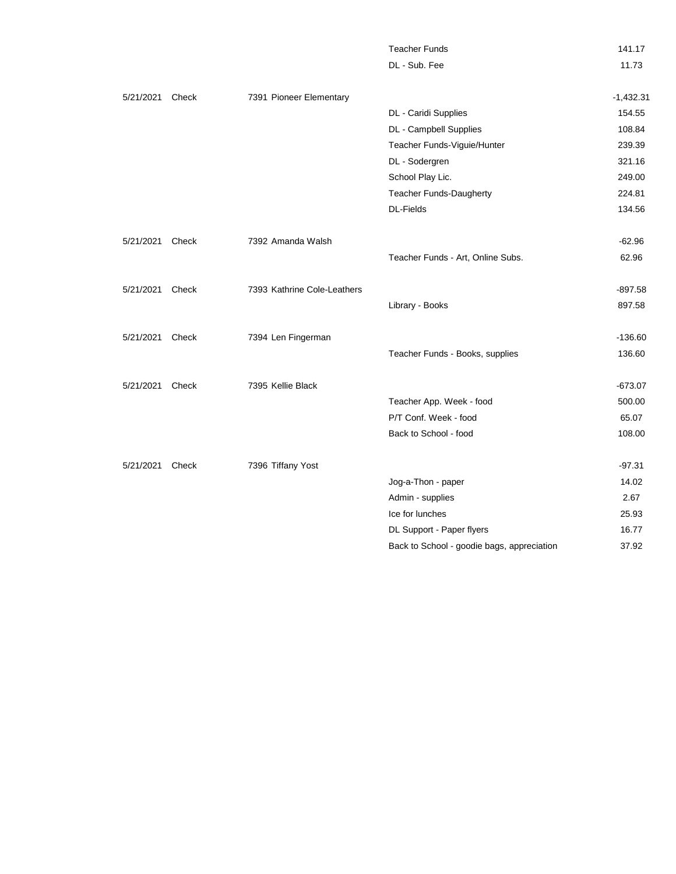|                 |       |                             | <b>Teacher Funds</b>                       | 141.17      |
|-----------------|-------|-----------------------------|--------------------------------------------|-------------|
|                 |       |                             | DL - Sub. Fee                              | 11.73       |
| 5/21/2021       | Check | 7391 Pioneer Elementary     |                                            | $-1,432.31$ |
|                 |       |                             | DL - Caridi Supplies                       | 154.55      |
|                 |       |                             | DL - Campbell Supplies                     | 108.84      |
|                 |       |                             | Teacher Funds-Viguie/Hunter                | 239.39      |
|                 |       |                             | DL - Sodergren                             | 321.16      |
|                 |       |                             | School Play Lic.                           | 249.00      |
|                 |       |                             | Teacher Funds-Daugherty                    | 224.81      |
|                 |       |                             | <b>DL-Fields</b>                           | 134.56      |
| 5/21/2021       | Check | 7392 Amanda Walsh           |                                            | $-62.96$    |
|                 |       |                             | Teacher Funds - Art, Online Subs.          | 62.96       |
| 5/21/2021 Check |       | 7393 Kathrine Cole-Leathers |                                            | $-897.58$   |
|                 |       |                             | Library - Books                            | 897.58      |
| 5/21/2021       | Check | 7394 Len Fingerman          |                                            | $-136.60$   |
|                 |       |                             | Teacher Funds - Books, supplies            | 136.60      |
| 5/21/2021       | Check | 7395 Kellie Black           |                                            | $-673.07$   |
|                 |       |                             | Teacher App. Week - food                   | 500.00      |
|                 |       |                             | P/T Conf. Week - food                      | 65.07       |
|                 |       |                             | Back to School - food                      | 108.00      |
| 5/21/2021       | Check | 7396 Tiffany Yost           |                                            | $-97.31$    |
|                 |       |                             | Jog-a-Thon - paper                         | 14.02       |
|                 |       |                             | Admin - supplies                           | 2.67        |
|                 |       |                             | Ice for lunches                            | 25.93       |
|                 |       |                             | DL Support - Paper flyers                  | 16.77       |
|                 |       |                             | Back to School - goodie bags, appreciation | 37.92       |
|                 |       |                             |                                            |             |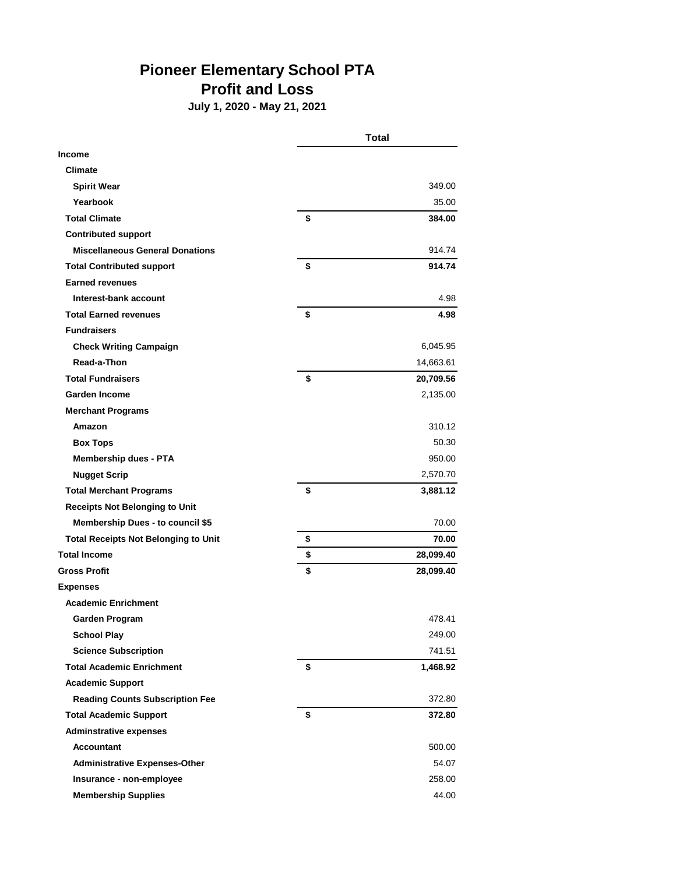# **Pioneer Elementary School PTA Profit and Loss**

**July 1, 2020 - May 21, 2021**

|                                             | <b>Total</b>    |
|---------------------------------------------|-----------------|
| <b>Income</b>                               |                 |
| <b>Climate</b>                              |                 |
| <b>Spirit Wear</b>                          | 349.00          |
| Yearbook                                    | 35.00           |
| <b>Total Climate</b>                        | \$<br>384.00    |
| <b>Contributed support</b>                  |                 |
| <b>Miscellaneous General Donations</b>      | 914.74          |
| <b>Total Contributed support</b>            | \$<br>914.74    |
| <b>Earned revenues</b>                      |                 |
| Interest-bank account                       | 4.98            |
| <b>Total Earned revenues</b>                | \$<br>4.98      |
| <b>Fundraisers</b>                          |                 |
| <b>Check Writing Campaign</b>               | 6,045.95        |
| Read-a-Thon                                 | 14,663.61       |
| <b>Total Fundraisers</b>                    | \$<br>20,709.56 |
| Garden Income                               | 2,135.00        |
| <b>Merchant Programs</b>                    |                 |
| Amazon                                      | 310.12          |
| <b>Box Tops</b>                             | 50.30           |
| <b>Membership dues - PTA</b>                | 950.00          |
| <b>Nugget Scrip</b>                         | 2,570.70        |
| <b>Total Merchant Programs</b>              | \$<br>3,881.12  |
| <b>Receipts Not Belonging to Unit</b>       |                 |
| <b>Membership Dues - to council \$5</b>     | 70.00           |
| <b>Total Receipts Not Belonging to Unit</b> | \$<br>70.00     |
| <b>Total Income</b>                         | \$<br>28,099.40 |
| <b>Gross Profit</b>                         | \$<br>28,099.40 |
| <b>Expenses</b>                             |                 |
| <b>Academic Enrichment</b>                  |                 |
| <b>Garden Program</b>                       | 478.41          |
| <b>School Play</b>                          | 249.00          |
| <b>Science Subscription</b>                 | 741.51          |
| <b>Total Academic Enrichment</b>            | \$<br>1,468.92  |
| <b>Academic Support</b>                     |                 |
| <b>Reading Counts Subscription Fee</b>      | 372.80          |
| <b>Total Academic Support</b>               | \$<br>372.80    |
| <b>Adminstrative expenses</b>               |                 |
| <b>Accountant</b>                           | 500.00          |
| <b>Administrative Expenses-Other</b>        | 54.07           |
| Insurance - non-employee                    | 258.00          |
| <b>Membership Supplies</b>                  | 44.00           |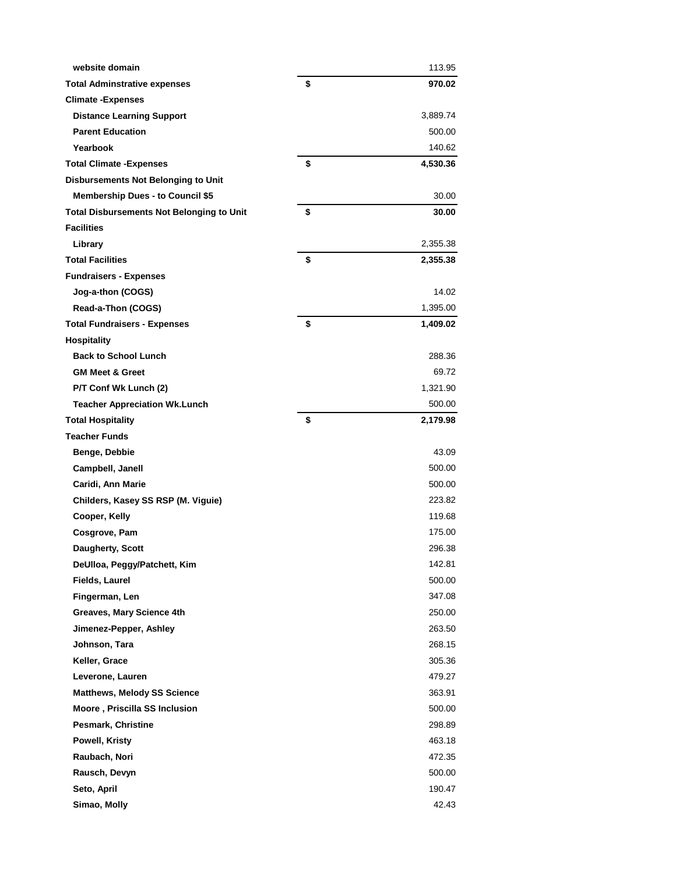| website domain                                   | 113.95         |
|--------------------------------------------------|----------------|
| <b>Total Adminstrative expenses</b>              | \$<br>970.02   |
| <b>Climate -Expenses</b>                         |                |
| <b>Distance Learning Support</b>                 | 3,889.74       |
| <b>Parent Education</b>                          | 500.00         |
| Yearbook                                         | 140.62         |
| <b>Total Climate - Expenses</b>                  | \$<br>4,530.36 |
| <b>Disbursements Not Belonging to Unit</b>       |                |
| <b>Membership Dues - to Council \$5</b>          | 30.00          |
| <b>Total Disbursements Not Belonging to Unit</b> | \$<br>30.00    |
| <b>Facilities</b>                                |                |
| Library                                          | 2,355.38       |
| <b>Total Facilities</b>                          | \$<br>2,355.38 |
| <b>Fundraisers - Expenses</b>                    |                |
| Jog-a-thon (COGS)                                | 14.02          |
| Read-a-Thon (COGS)                               | 1,395.00       |
| <b>Total Fundraisers - Expenses</b>              | \$<br>1,409.02 |
| <b>Hospitality</b>                               |                |
| <b>Back to School Lunch</b>                      | 288.36         |
| <b>GM Meet &amp; Greet</b>                       | 69.72          |
| P/T Conf Wk Lunch (2)                            | 1,321.90       |
| <b>Teacher Appreciation Wk.Lunch</b>             | 500.00         |
| <b>Total Hospitality</b>                         | \$<br>2,179.98 |
| <b>Teacher Funds</b>                             |                |
| Benge, Debbie                                    | 43.09          |
| Campbell, Janell                                 | 500.00         |
| Caridi, Ann Marie                                | 500.00         |
| Childers, Kasey SS RSP (M. Viguie)               | 223.82         |
| Cooper, Kelly                                    | 119.68         |
| Cosgrove, Pam                                    | 175.00         |
| Daugherty, Scott                                 | 296.38         |
| DeUlloa, Peggy/Patchett, Kim                     | 142.81         |
| <b>Fields, Laurel</b>                            | 500.00         |
| Fingerman, Len                                   | 347.08         |
| <b>Greaves, Mary Science 4th</b>                 | 250.00         |
| Jimenez-Pepper, Ashley                           | 263.50         |
| Johnson, Tara                                    | 268.15         |
| Keller, Grace                                    | 305.36         |
| Leverone, Lauren                                 | 479.27         |
| <b>Matthews, Melody SS Science</b>               | 363.91         |
| Moore, Priscilla SS Inclusion                    | 500.00         |
| <b>Pesmark, Christine</b>                        | 298.89         |
| Powell, Kristy                                   | 463.18         |
| Raubach, Nori                                    | 472.35         |
| Rausch, Devyn                                    | 500.00         |
| Seto, April                                      | 190.47         |
| Simao, Molly                                     | 42.43          |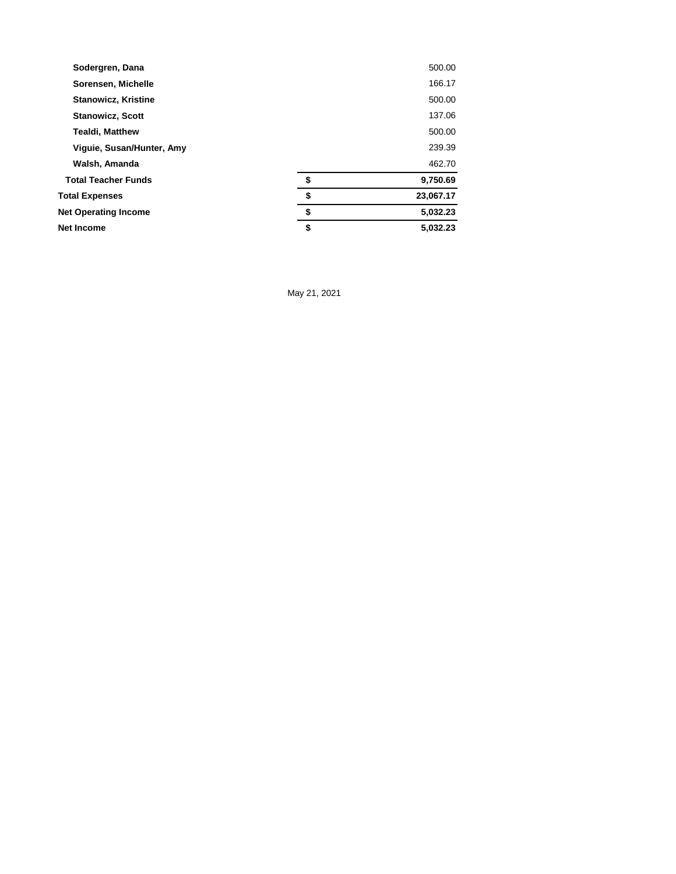| Sodergren, Dana             | 500.00          |
|-----------------------------|-----------------|
| Sorensen, Michelle          | 166.17          |
| <b>Stanowicz, Kristine</b>  | 500.00          |
| <b>Stanowicz, Scott</b>     | 137.06          |
| <b>Tealdi, Matthew</b>      | 500.00          |
| Viguie, Susan/Hunter, Amy   | 239.39          |
| Walsh, Amanda               | 462.70          |
| <b>Total Teacher Funds</b>  | \$<br>9,750.69  |
| <b>Total Expenses</b>       | \$<br>23,067.17 |
| <b>Net Operating Income</b> | \$<br>5,032.23  |
| <b>Net Income</b>           | \$<br>5,032.23  |

May 21, 2021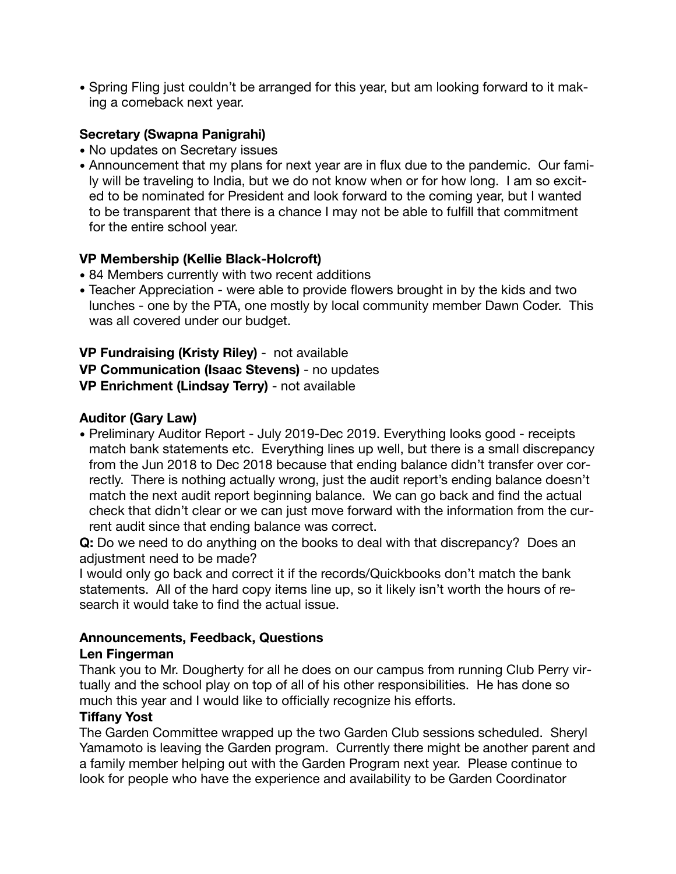• Spring Fling just couldn't be arranged for this year, but am looking forward to it making a comeback next year.

### **Secretary (Swapna Panigrahi)**

- No updates on Secretary issues
- Announcement that my plans for next year are in flux due to the pandemic. Our family will be traveling to India, but we do not know when or for how long. I am so excited to be nominated for President and look forward to the coming year, but I wanted to be transparent that there is a chance I may not be able to fulfill that commitment for the entire school year.

### **VP Membership (Kellie Black-Holcroft)**

- 84 Members currently with two recent additions
- Teacher Appreciation were able to provide flowers brought in by the kids and two lunches - one by the PTA, one mostly by local community member Dawn Coder. This was all covered under our budget.

**VP Fundraising (Kristy Riley)** - not available **VP Communication (Isaac Stevens)** - no updates **VP Enrichment (Lindsay Terry)** - not available

### **Auditor (Gary Law)**

• Preliminary Auditor Report - July 2019-Dec 2019. Everything looks good - receipts match bank statements etc. Everything lines up well, but there is a small discrepancy from the Jun 2018 to Dec 2018 because that ending balance didn't transfer over correctly. There is nothing actually wrong, just the audit report's ending balance doesn't match the next audit report beginning balance. We can go back and find the actual check that didn't clear or we can just move forward with the information from the current audit since that ending balance was correct.

**Q:** Do we need to do anything on the books to deal with that discrepancy? Does an adjustment need to be made?

I would only go back and correct it if the records/Quickbooks don't match the bank statements. All of the hard copy items line up, so it likely isn't worth the hours of research it would take to find the actual issue.

### **Announcements, Feedback, Questions**

### **Len Fingerman**

Thank you to Mr. Dougherty for all he does on our campus from running Club Perry virtually and the school play on top of all of his other responsibilities. He has done so much this year and I would like to officially recognize his efforts.

### **Tiffany Yost**

The Garden Committee wrapped up the two Garden Club sessions scheduled. Sheryl Yamamoto is leaving the Garden program. Currently there might be another parent and a family member helping out with the Garden Program next year. Please continue to look for people who have the experience and availability to be Garden Coordinator